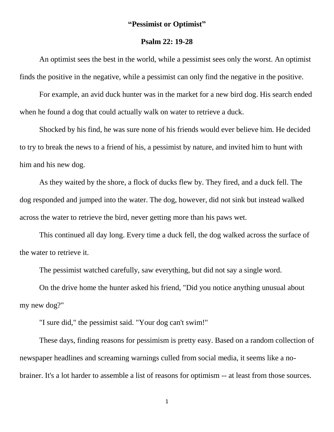## **"Pessimist or Optimist"**

## **Psalm 22: 19-28**

An optimist sees the best in the world, while a pessimist sees only the worst. An optimist finds the positive in the negative, while a pessimist can only find the negative in the positive.

For example, an avid duck hunter was in the market for a new bird dog. His search ended when he found a dog that could actually walk on water to retrieve a duck.

Shocked by his find, he was sure none of his friends would ever believe him. He decided to try to break the news to a friend of his, a pessimist by nature, and invited him to hunt with him and his new dog.

As they waited by the shore, a flock of ducks flew by. They fired, and a duck fell. The dog responded and jumped into the water. The dog, however, did not sink but instead walked across the water to retrieve the bird, never getting more than his paws wet.

This continued all day long. Every time a duck fell, the dog walked across the surface of the water to retrieve it.

The pessimist watched carefully, saw everything, but did not say a single word.

On the drive home the hunter asked his friend, "Did you notice anything unusual about my new dog?"

"I sure did," the pessimist said. "Your dog can't swim!"

These days, finding reasons for pessimism is pretty easy. Based on a random collection of newspaper headlines and screaming warnings culled from social media, it seems like a nobrainer. It's a lot harder to assemble a list of reasons for optimism -- at least from those sources.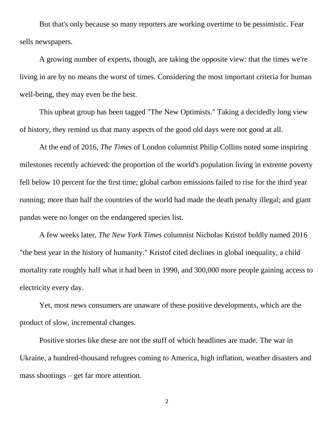But that's only because so many reporters are working overtime to be pessimistic. Fear sells newspapers.

A growing number of experts, though, are taking the opposite view: that the times we're living in are by no means the worst of times. Considering the most important criteria for human well-being, they may even be the best.

This upbeat group has been tagged "The New Optimists." Taking a decidedly long view of history, they remind us that many aspects of the good old days were not good at all.

At the end of 2016, *The Times* of London columnist Philip Collins noted some inspiring milestones recently achieved: the proportion of the world's population living in extreme poverty fell below 10 percent for the first time; global carbon emissions failed to rise for the third year running; more than half the countries of the world had made the death penalty illegal; and giant pandas were no longer on the endangered species list.

A few weeks later, *The New York Times* columnist Nicholas Kristof boldly named 2016 "the best year in the history of humanity." Kristof cited declines in global inequality, a child mortality rate roughly half what it had been in 1990, and 300,000 more people gaining access to electricity every day.

Yet, most news consumers are unaware of these positive developments, which are the product of slow, incremental changes.

Positive stories like these are not the stuff of which headlines are made. The war in Ukraine, a hundred-thousand refugees coming to America, high inflation, weather disasters and mass shootings – get far more attention.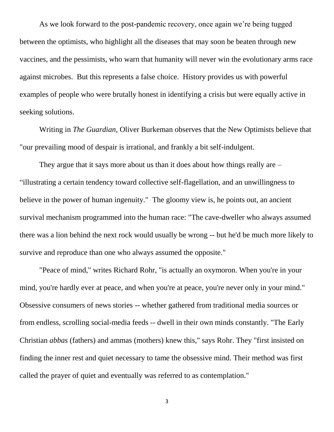As we look forward to the post-pandemic recovery, once again we're being tugged between the optimists, who highlight all the diseases that may soon be beaten through new vaccines, and the pessimists, who warn that humanity will never win the evolutionary arms race against microbes. But this represents a false choice. History provides us with powerful examples of people who were brutally honest in identifying a crisis but were equally active in seeking solutions.

Writing in *The Guardian*, Oliver Burkeman observes that the New Optimists believe that "our prevailing mood of despair is irrational, and frankly a bit self-indulgent.

They argue that it says more about us than it does about how things really are – "illustrating a certain tendency toward collective self-flagellation, and an unwillingness to believe in the power of human ingenuity." The gloomy view is, he points out, an ancient survival mechanism programmed into the human race: "The cave-dweller who always assumed there was a lion behind the next rock would usually be wrong -- but he'd be much more likely to survive and reproduce than one who always assumed the opposite."

"Peace of mind," writes Richard Rohr, "is actually an oxymoron. When you're in your mind, you're hardly ever at peace, and when you're at peace, you're never only in your mind." Obsessive consumers of news stories -- whether gathered from traditional media sources or from endless, scrolling social-media feeds -- dwell in their own minds constantly. "The Early Christian *abbas* (fathers) and ammas (mothers) knew this," says Rohr. They "first insisted on finding the inner rest and quiet necessary to tame the obsessive mind. Their method was first called the prayer of quiet and eventually was referred to as contemplation."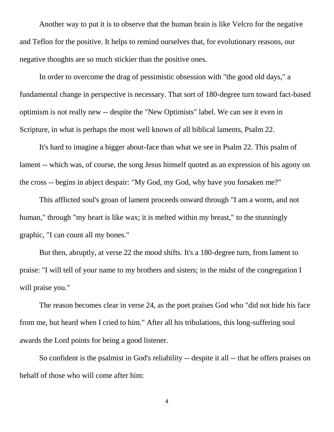Another way to put it is to observe that the human brain is like Velcro for the negative and Teflon for the positive. It helps to remind ourselves that, for evolutionary reasons, our negative thoughts are so much stickier than the positive ones.

In order to overcome the drag of pessimistic obsession with "the good old days," a fundamental change in perspective is necessary. That sort of 180-degree turn toward fact-based optimism is not really new -- despite the "New Optimists" label. We can see it even in Scripture, in what is perhaps the most well known of all biblical laments, Psalm 22.

It's hard to imagine a bigger about-face than what we see in Psalm 22. This psalm of lament -- which was, of course, the song Jesus himself quoted as an expression of his agony on the cross -- begins in abject despair: "My God, my God, why have you forsaken me?"

This afflicted soul's groan of lament proceeds onward through "I am a worm, and not human," through "my heart is like wax; it is melted within my breast," to the stunningly graphic, "I can count all my bones."

But then, abruptly, at verse 22 the mood shifts. It's a 180-degree turn, from lament to praise: "I will tell of your name to my brothers and sisters; in the midst of the congregation I will praise you."

The reason becomes clear in verse 24, as the poet praises God who "did not hide his face from me, but heard when I cried to him." After all his tribulations, this long-suffering soul awards the Lord points for being a good listener.

So confident is the psalmist in God's reliability -- despite it all -- that he offers praises on behalf of those who will come after him: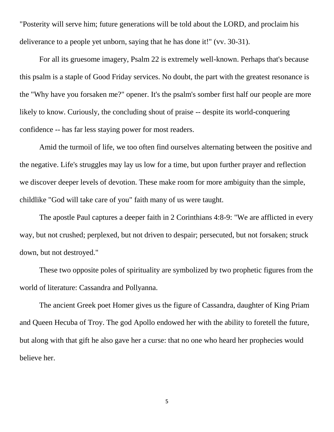"Posterity will serve him; future generations will be told about the LORD, and proclaim his deliverance to a people yet unborn, saying that he has done it!" (vv. 30-31).

For all its gruesome imagery, Psalm 22 is extremely well-known. Perhaps that's because this psalm is a staple of Good Friday services. No doubt, the part with the greatest resonance is the "Why have you forsaken me?" opener. It's the psalm's somber first half our people are more likely to know. Curiously, the concluding shout of praise -- despite its world-conquering confidence -- has far less staying power for most readers.

Amid the turmoil of life, we too often find ourselves alternating between the positive and the negative. Life's struggles may lay us low for a time, but upon further prayer and reflection we discover deeper levels of devotion. These make room for more ambiguity than the simple, childlike "God will take care of you" faith many of us were taught.

The apostle Paul captures a deeper faith in 2 Corinthians 4:8-9: "We are afflicted in every way, but not crushed; perplexed, but not driven to despair; persecuted, but not forsaken; struck down, but not destroyed."

These two opposite poles of spirituality are symbolized by two prophetic figures from the world of literature: Cassandra and Pollyanna.

The ancient Greek poet Homer gives us the figure of Cassandra, daughter of King Priam and Queen Hecuba of Troy. The god Apollo endowed her with the ability to foretell the future, but along with that gift he also gave her a curse: that no one who heard her prophecies would believe her.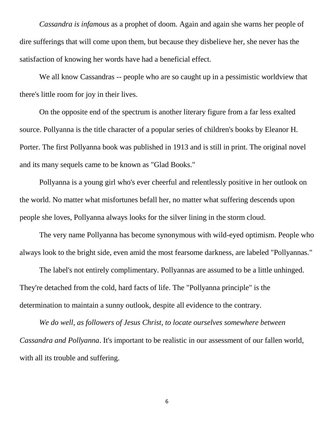*Cassandra is infamous* as a prophet of doom. Again and again she warns her people of dire sufferings that will come upon them, but because they disbelieve her, she never has the satisfaction of knowing her words have had a beneficial effect.

We all know Cassandras -- people who are so caught up in a pessimistic worldview that there's little room for joy in their lives.

On the opposite end of the spectrum is another literary figure from a far less exalted source. Pollyanna is the title character of a popular series of children's books by Eleanor H. Porter. The first Pollyanna book was published in 1913 and is still in print. The original novel and its many sequels came to be known as "Glad Books."

Pollyanna is a young girl who's ever cheerful and relentlessly positive in her outlook on the world. No matter what misfortunes befall her, no matter what suffering descends upon people she loves, Pollyanna always looks for the silver lining in the storm cloud.

The very name Pollyanna has become synonymous with wild-eyed optimism. People who always look to the bright side, even amid the most fearsome darkness, are labeled "Pollyannas."

The label's not entirely complimentary. Pollyannas are assumed to be a little unhinged. They're detached from the cold, hard facts of life. The "Pollyanna principle" is the determination to maintain a sunny outlook, despite all evidence to the contrary.

*We do well, as followers of Jesus Christ, to locate ourselves somewhere between Cassandra and Pollyanna*. It's important to be realistic in our assessment of our fallen world, with all its trouble and suffering.